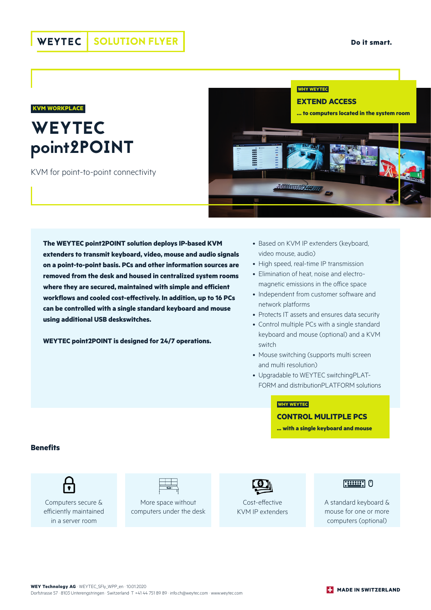#### WEYTEC SOLUTION FLYER

#### **KVM WORKPLACE**

# **WEYTEC** point2POINT

KVM for point-to-point connectivity

**WHY WEYTEC**

**EXTEND ACCESS**

**… to computers located in the system room**



**The WEYTEC point2POINT solution deploys IP-based KVM extenders to transmit keyboard, video, mouse and audio signals on a point-to-point basis. PCs and other information sources are removed from the desk and housed in centralized system rooms where they are secured, maintained with simple and efficient workflows and cooled cost-effectively. In addition, up to 16 PCs can be controlled with a single standard keyboard and mouse using additional USB deskswitches.** 

**WEYTEC point2POINT is designed for 24/7 operations.**

- Based on KVM IP extenders (keyboard, video mouse, audio)
- High speed, real-time IP transmission
- Elimination of heat, noise and electromagnetic emissions in the office space
- Independent from customer software and network platforms
- Protects IT assets and ensures data security
- Control multiple PCs with a single standard keyboard and mouse (optional) and a KVM switch
- Mouse switching (supports multi screen and multi resolution)
- Upgradable to WEYTEC switchingPLAT-FORM and distributionPLATFORM solutions

#### **WHY WEYTEC**

#### **CONTROL MULITPLE PCS**

**... with a single keyboard and mouse**

#### **Benefits**

Computers secure & efficiently maintained in a server room



More space without computers under the desk



Cost-effective KVM IP extenders

### $[$  $]$  $[$  $]$  $]$  $]$  $]$  $]$

A standard keyboard & mouse for one or more computers (optional)